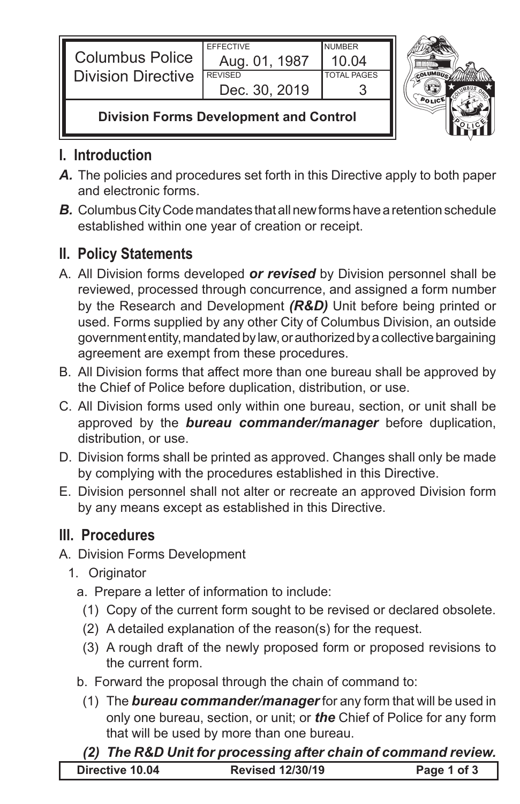| <b>Columbus Police</b><br><b>Division Directive</b> | <b>FFFFCTIVE</b> | <b>NUMBER</b> |  |
|-----------------------------------------------------|------------------|---------------|--|
|                                                     | Aug. 01, 1987    | 10.04         |  |
|                                                     | <b>REVISED</b>   | TOTAL PAGES   |  |
|                                                     | Dec. 30, 2019    |               |  |
| <b>Division Forms Development and Control</b>       |                  |               |  |



# **I. Introduction**

- *A.* The policies and procedures set forth in this Directive apply to both paper and electronic forms.
- *B.* Columbus City Code mandates that all new forms have a retention schedule established within one year of creation or receipt.

## **II. Policy Statements**

- A. All Division forms developed *or revised* by Division personnel shall be reviewed, processed through concurrence, and assigned a form number by the Research and Development *(R&D)* Unit before being printed or used. Forms supplied by any other City of Columbus Division, an outside government entity, mandated by law, or authorized by a collective bargaining agreement are exempt from these procedures.
- B. All Division forms that affect more than one bureau shall be approved by the Chief of Police before duplication, distribution, or use.
- C. All Division forms used only within one bureau, section, or unit shall be approved by the *bureau commander/manager* before duplication, distribution, or use.
- D. Division forms shall be printed as approved. Changes shall only be made by complying with the procedures established in this Directive.
- E. Division personnel shall not alter or recreate an approved Division form by any means except as established in this Directive.

## **III. Procedures**

- A. Division Forms Development
	- 1. Originator
		- a. Prepare a letter of information to include:
		- (1) Copy of the current form sought to be revised or declared obsolete.
		- (2) A detailed explanation of the reason(s) for the request.
		- (3) A rough draft of the newly proposed form or proposed revisions to the current form.
		- b. Forward the proposal through the chain of command to:
			- (1) The *bureau commander/manager* for any form that will be used in only one bureau, section, or unit; or *the* Chief of Police for any form that will be used by more than one bureau.

### **Directive 10.04 Revised 12/30/19 Page 1 of 3** *(2) The R&D Unit for processing after chain of command review.*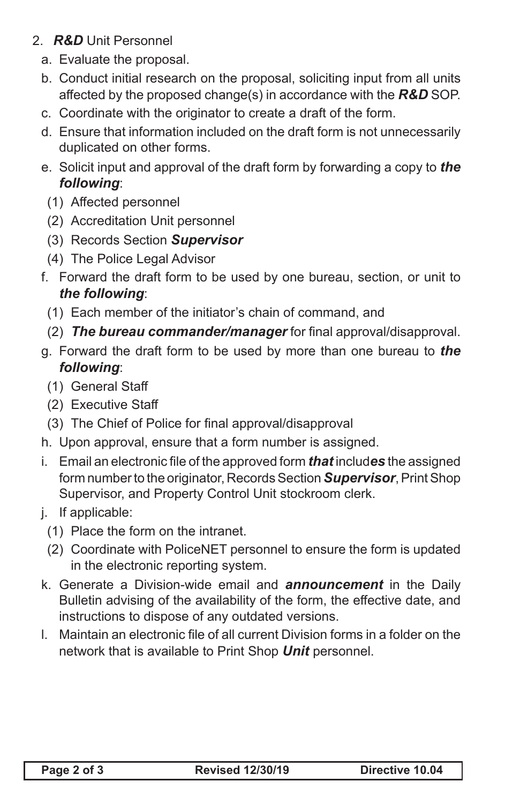- 2. *R&D* Unit Personnel
	- a. Evaluate the proposal.
	- b. Conduct initial research on the proposal, soliciting input from all units affected by the proposed change(s) in accordance with the *R&D* SOP.
	- c. Coordinate with the originator to create a draft of the form.
	- d. Ensure that information included on the draft form is not unnecessarily duplicated on other forms.
	- e. Solicit input and approval of the draft form by forwarding a copy to *the following*:
		- (1) Affected personnel
		- (2) Accreditation Unit personnel
		- (3) Records Section *Supervisor*
		- (4) The Police Legal Advisor
	- f. Forward the draft form to be used by one bureau, section, or unit to *the following*:
		- (1) Each member of the initiator's chain of command, and
		- (2) *The bureau commander/manager* for final approval/disapproval.
	- g. Forward the draft form to be used by more than one bureau to *the following*:
		- (1) General Staff
		- (2) Executive Staff
		- (3) The Chief of Police for final approval/disapproval
	- h. Upon approval, ensure that a form number is assigned.
	- i. Email an electronic file of the approved form *that* includ*es* the assigned form number to the originator, Records Section *Supervisor*, Print Shop Supervisor, and Property Control Unit stockroom clerk.
	- j. If applicable:
		- (1) Place the form on the intranet.
		- (2) Coordinate with PoliceNET personnel to ensure the form is updated in the electronic reporting system.
	- k. Generate a Division-wide email and *announcement* in the Daily Bulletin advising of the availability of the form, the effective date, and instructions to dispose of any outdated versions.
	- I. Maintain an electronic file of all current Division forms in a folder on the network that is available to Print Shop *Unit* personnel.